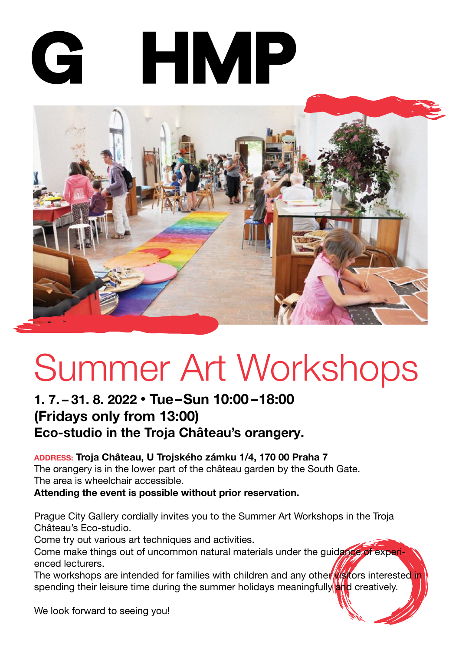# **HMP** G



# Summer Art Workshops

## 1. 7. – 31. 8. 2022 • Tue–Sun 10:00–18:00 (Fridays only from 13:00) Eco-studio in the Troja Château's orangery.

#### <sup>address:</sup> Troja Château, U Trojského zámku 1/4, 170 00 Praha 7

The orangery is in the lower part of the château garden by the South Gate. The area is wheelchair accessible.

Attending the event is possible without prior reservation.

Prague City Gallery cordially invites you to the Summer Art Workshops in the Troja Château's Eco-studio. V jako určené pro rodiny s dětmi i pro rodiny s dětmi i pro všechny ostatní návštěvníky, k

Come try out various art techniques and activities.

Come make things out of uncommon natural materials under the quidance of experienced lecturers.

The workshops are intended for families with children and any other wisitors interested in spending their leisure time during the summer holidays meaningfully and creatively.

We look forward to seeing you!